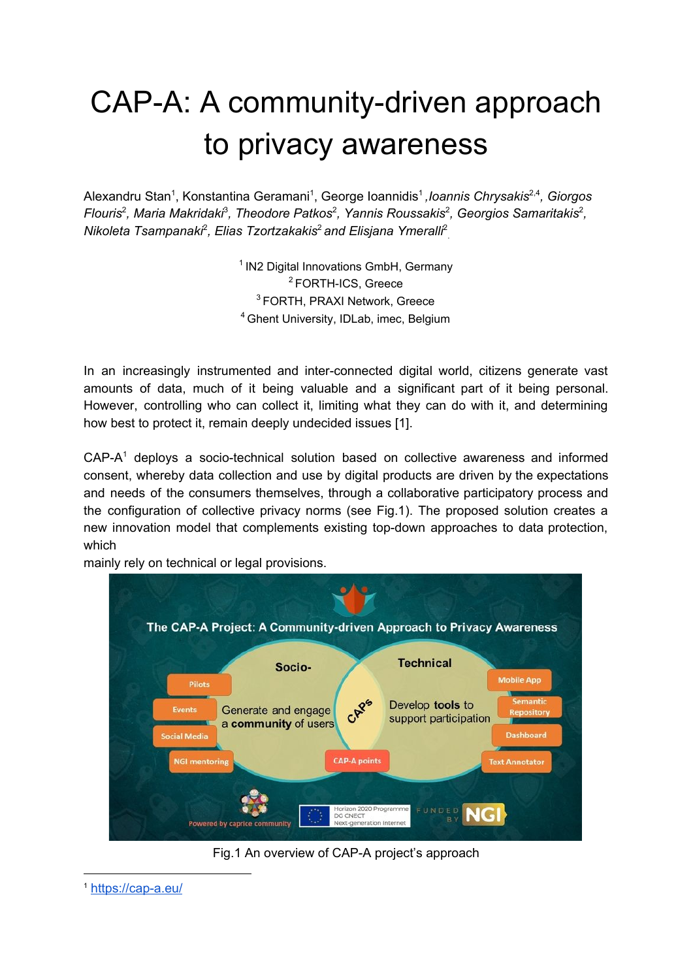# CAP-A: A community-driven approach to privacy awareness

Alexandru Stan 1 , Konstantina Geramani 1 , George Ioannidis 1 *,Ioannis Chrysakis* 2,4 *, Giorgos Flouris* 2 *, Maria Makridaki* 3 *, Theodore Patkos* 2 *, Yannis Roussakis* 2 *, Georgios Samaritakis* 2 *, Nikoleta Tsampanaki* 2 *, Elias Tzortzakakis* <sup>2</sup> *and Elisjana Ymeralli* 2 .

> <sup>1</sup> IN2 Digital Innovations GmbH, Germany FORTH-ICS, Greece FORTH, PRAXI Network, Greece Ghent University, IDLab, imec, Belgium

In an increasingly instrumented and inter-connected digital world, citizens generate vast amounts of data, much of it being valuable and a significant part of it being personal. However, controlling who can collect it, limiting what they can do with it, and determining how best to protect it, remain deeply undecided issues [1].

 $CAP-A<sup>1</sup>$  deploys a socio-technical solution based on collective awareness and informed consent, whereby data collection and use by digital products are driven by the expectations and needs of the consumers themselves, through a collaborative participatory process and the configuration of collective privacy norms (see Fig.1). The proposed solution creates a new innovation model that complements existing top-down approaches to data protection, which

mainly rely on technical or legal provisions.



Fig.1 An overview of CAP-A project's approach

<sup>1</sup> <https://cap-a.eu/>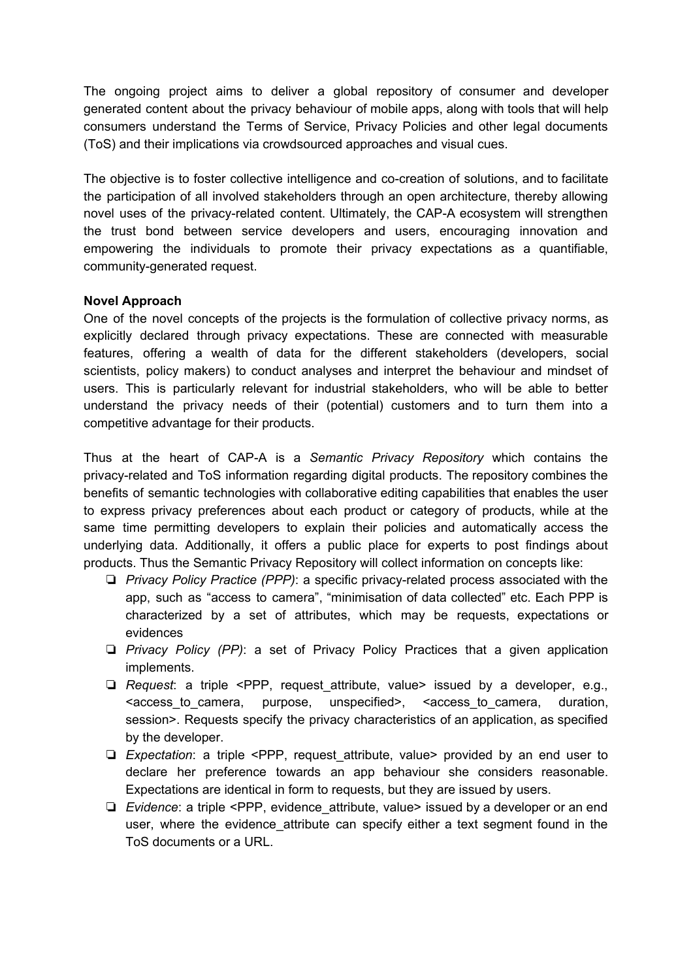The ongoing project aims to deliver a global repository of consumer and developer generated content about the privacy behaviour of mobile apps, along with tools that will help consumers understand the Terms of Service, Privacy Policies and other legal documents (ToS) and their implications via crowdsourced approaches and visual cues.

The objective is to foster collective intelligence and co-creation of solutions, and to facilitate the participation of all involved stakeholders through an open architecture, thereby allowing novel uses of the privacy-related content. Ultimately, the CAP-A ecosystem will strengthen the trust bond between service developers and users, encouraging innovation and empowering the individuals to promote their privacy expectations as a quantifiable, community-generated request.

#### **Novel Approach**

One of the novel concepts of the projects is the formulation of collective privacy norms, as explicitly declared through privacy expectations. These are connected with measurable features, offering a wealth of data for the different stakeholders (developers, social scientists, policy makers) to conduct analyses and interpret the behaviour and mindset of users. This is particularly relevant for industrial stakeholders, who will be able to better understand the privacy needs of their (potential) customers and to turn them into a competitive advantage for their products.

Thus at the heart of CAP-A is a *Semantic Privacy Repository* which contains the privacy-related and ToS information regarding digital products. The repository combines the benefits of semantic technologies with collaborative editing capabilities that enables the user to express privacy preferences about each product or category of products, while at the same time permitting developers to explain their policies and automatically access the underlying data. Additionally, it offers a public place for experts to post findings about products. Thus the Semantic Privacy Repository will collect information on concepts like:

- ❏ *Privacy Policy Practice (PPP)*: a specific privacy-related process associated with the app, such as "access to camera", "minimisation of data collected" etc. Each PPP is characterized by a set of attributes, which may be requests, expectations or evidences
- ❏ *Privacy Policy (PP)*: a set of Privacy Policy Practices that a given application implements.
- ❏ *Request*: a triple <PPP, request\_attribute, value> issued by a developer, e.g., <access\_to\_camera, purpose, unspecified>, <access\_to\_camera, duration, session>. Requests specify the privacy characteristics of an application, as specified by the developer.
- ❏ *Expectation*: a triple <PPP, request\_attribute, value> provided by an end user to declare her preference towards an app behaviour she considers reasonable. Expectations are identical in form to requests, but they are issued by users.
- ❏ *Evidence*: a triple <PPP, evidence\_attribute, value> issued by a developer or an end user, where the evidence\_attribute can specify either a text segment found in the ToS documents or a URL.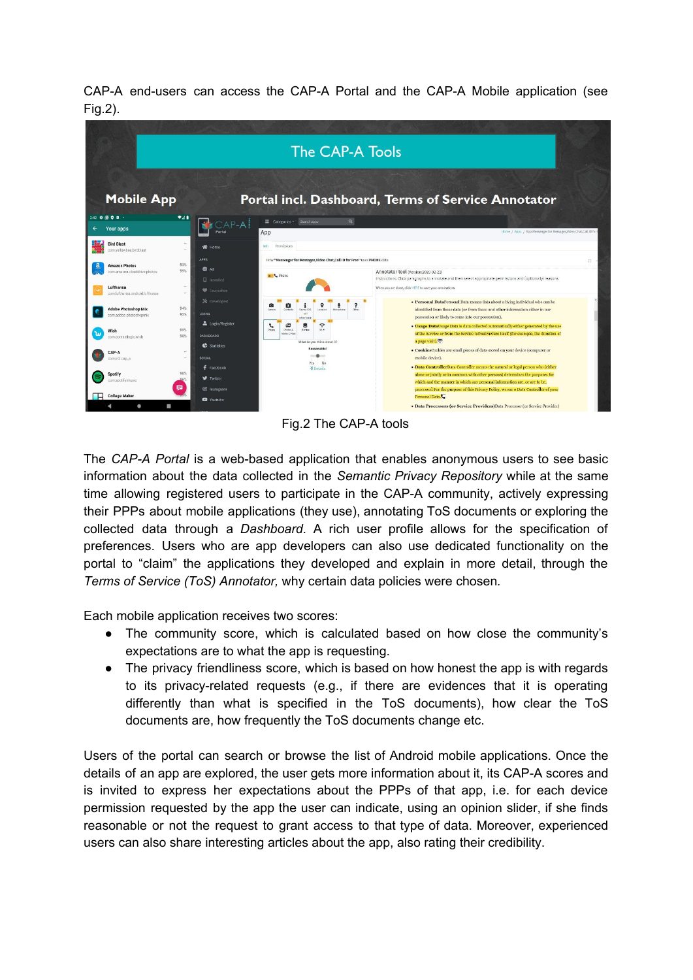CAP-A end-users can access the CAP-A Portal and the CAP-A Mobile application (see Fig.2).



Fig.2 The CAP-A tools

The *CAP-A Portal* is a web-based application that enables anonymous users to see basic information about the data collected in the *Semantic Privacy Repository* while at the same time allowing registered users to participate in the CAP-A community, actively expressing their PPPs about mobile applications (they use), annotating ToS documents or exploring the collected data through a *Dashboard*. A rich user profile allows for the specification of preferences. Users who are app developers can also use dedicated functionality on the portal to "claim" the applications they developed and explain in more detail, through the *Terms of Service (ToS) Annotator,* why certain data policies were chosen*.*

Each mobile application receives two scores:

- The community score, which is calculated based on how close the community's expectations are to what the app is requesting.
- The privacy friendliness score, which is based on how honest the app is with regards to its privacy-related requests (e.g., if there are evidences that it is operating differently than what is specified in the ToS documents), how clear the ToS documents are, how frequently the ToS documents change etc.

Users of the portal can search or browse the list of Android mobile applications. Once the details of an app are explored, the user gets more information about it, its CAP-A scores and is invited to express her expectations about the PPPs of that app, i.e. for each device permission requested by the app the user can indicate, using an opinion slider, if she finds reasonable or not the request to grant access to that type of data. Moreover, experienced users can also share interesting articles about the app, also rating their credibility.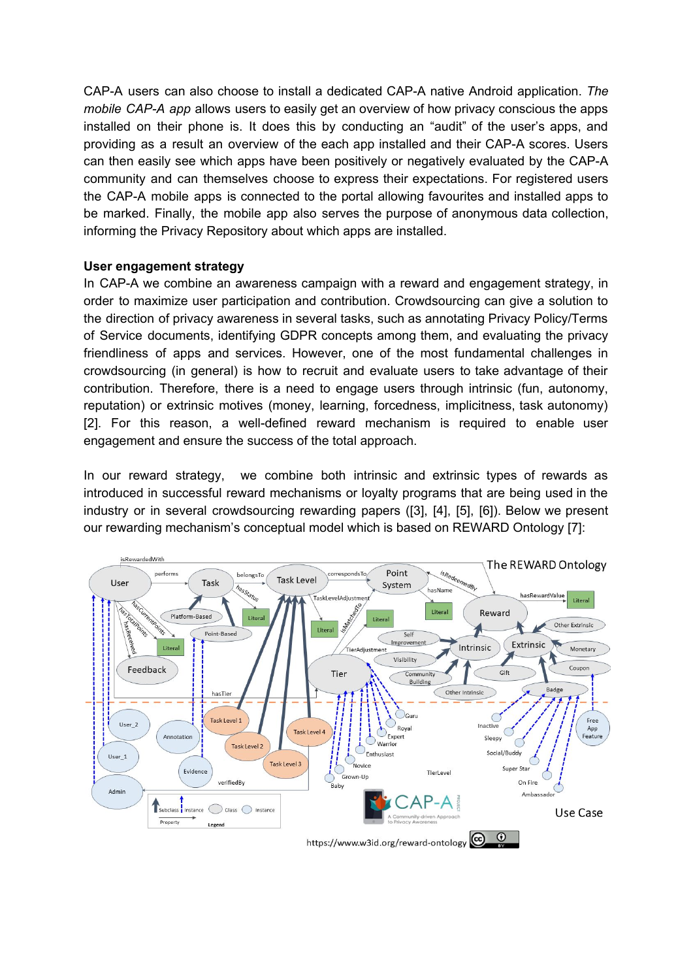CAP-A users can also choose to install a dedicated CAP-A native Android application. *The mobile CAP-A app* allows users to easily get an overview of how privacy conscious the apps installed on their phone is. It does this by conducting an "audit" of the user's apps, and providing as a result an overview of the each app installed and their CAP-A scores. Users can then easily see which apps have been positively or negatively evaluated by the CAP-A community and can themselves choose to express their expectations. For registered users the CAP-A mobile apps is connected to the portal allowing favourites and installed apps to be marked. Finally, the mobile app also serves the purpose of anonymous data collection, informing the Privacy Repository about which apps are installed.

#### **User engagement strategy**

In CAP-A we combine an awareness campaign with a reward and engagement strategy, in order to maximize user participation and contribution. Crowdsourcing can give a solution to the direction of privacy awareness in several tasks, such as annotating Privacy Policy/Terms of Service documents, identifying GDPR concepts among them, and evaluating the privacy friendliness of apps and services. However, one of the most fundamental challenges in crowdsourcing (in general) is how to recruit and evaluate users to take advantage of their contribution. Therefore, there is a need to engage users through intrinsic (fun, autonomy, reputation) or extrinsic motives (money, learning, forcedness, implicitness, task autonomy) [2]. For this reason, a well-defined reward mechanism is required to enable user engagement and ensure the success of the total approach.

In our reward strategy, we combine both intrinsic and extrinsic types of rewards as introduced in successful reward mechanisms or loyalty programs that are being used in the industry or in several crowdsourcing rewarding papers ([3], [4], [5], [6]). Below we present our rewarding mechanism's conceptual model which is based on REWARD Ontology [7]: